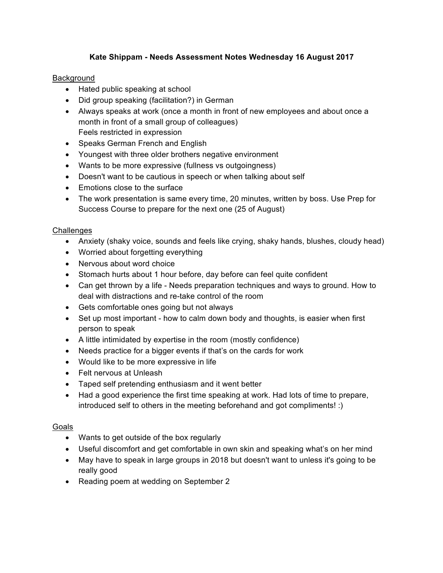# **Kate Shippam - Needs Assessment Notes Wednesday 16 August 2017**

## Background

- Hated public speaking at school
- Did group speaking (facilitation?) in German
- Always speaks at work (once a month in front of new employees and about once a month in front of a small group of colleagues) Feels restricted in expression
- Speaks German French and English
- Youngest with three older brothers negative environment
- Wants to be more expressive (fullness vs outgoingness)
- Doesn't want to be cautious in speech or when talking about self
- Emotions close to the surface
- The work presentation is same every time, 20 minutes, written by boss. Use Prep for Success Course to prepare for the next one (25 of August)

## **Challenges**

- Anxiety (shaky voice, sounds and feels like crying, shaky hands, blushes, cloudy head)
- Worried about forgetting everything
- Nervous about word choice
- Stomach hurts about 1 hour before, day before can feel quite confident
- Can get thrown by a life Needs preparation techniques and ways to ground. How to deal with distractions and re-take control of the room
- Gets comfortable ones going but not always
- Set up most important how to calm down body and thoughts, is easier when first person to speak
- A little intimidated by expertise in the room (mostly confidence)
- Needs practice for a bigger events if that's on the cards for work
- Would like to be more expressive in life
- Felt nervous at Unleash
- Taped self pretending enthusiasm and it went better
- Had a good experience the first time speaking at work. Had lots of time to prepare, introduced self to others in the meeting beforehand and got compliments! :)

# Goals

- Wants to get outside of the box regularly
- Useful discomfort and get comfortable in own skin and speaking what's on her mind
- May have to speak in large groups in 2018 but doesn't want to unless it's going to be really good
- Reading poem at wedding on September 2